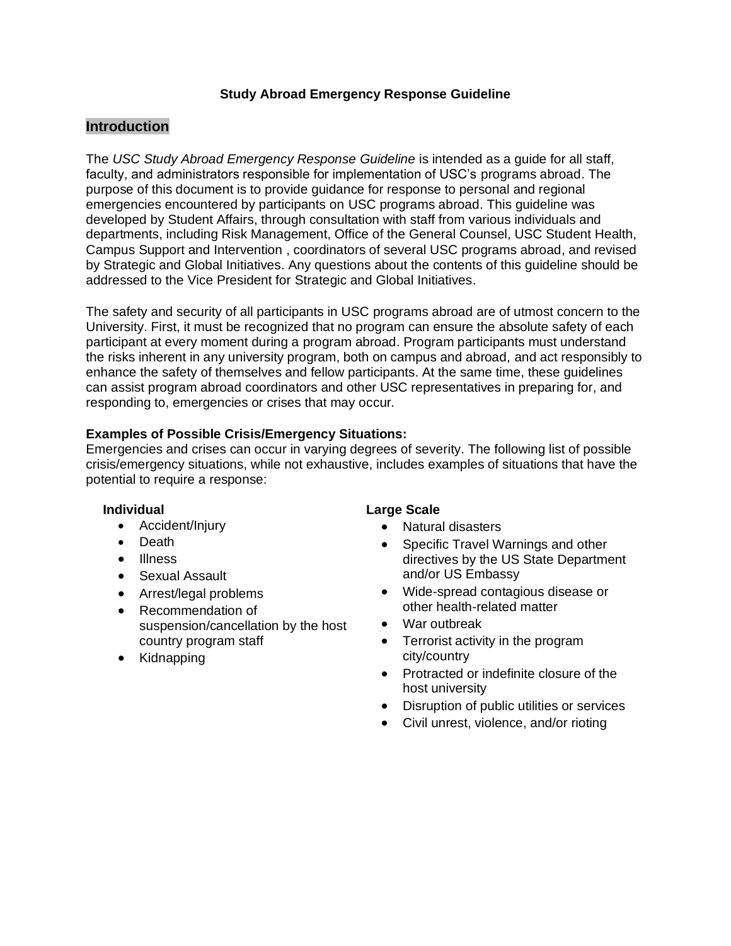### **Study Abroad Emergency Response Guideline**

# **Introduction**

The *USC Study Abroad Emergency Response Guideline* is intended as a guide for all staff, faculty, and administrators responsible for implementation of USC's programs abroad. The purpose of this document is to provide guidance for response to personal and regional emergencies encountered by participants on USC programs abroad. This guideline was developed by Student Affairs, through consultation with staff from various individuals and departments, including Risk Management, Office of the General Counsel, USC Student Health, Campus Support and Intervention , coordinators of several USC programs abroad, and revised by Strategic and Global Initiatives. Any questions about the contents of this guideline should be addressed to the Vice President for Strategic and Global Initiatives.

The safety and security of all participants in USC programs abroad are of utmost concern to the University. First, it must be recognized that no program can ensure the absolute safety of each participant at every moment during a program abroad. Program participants must understand the risks inherent in any university program, both on campus and abroad, and act responsibly to enhance the safety of themselves and fellow participants. At the same time, these guidelines can assist program abroad coordinators and other USC representatives in preparing for, and responding to, emergencies or crises that may occur.

# **Examples of Possible Crisis/Emergency Situations:**

Emergencies and crises can occur in varying degrees of severity. The following list of possible crisis/emergency situations, while not exhaustive, includes examples of situations that have the potential to require a response:

- Accident/Injury
- Death
- Illness
- Sexual Assault
- Arrest/legal problems
- Recommendation of suspension/cancellation by the host country program staff
- Kidnapping

# **Individual Large Scale**

- Natural disasters
- Specific Travel Warnings and other directives by the US State Department and/or US Embassy
- Wide-spread contagious disease or other health-related matter
- War outbreak
- Terrorist activity in the program city/country
- Protracted or indefinite closure of the host university
- Disruption of public utilities or services
- Civil unrest, violence, and/or rioting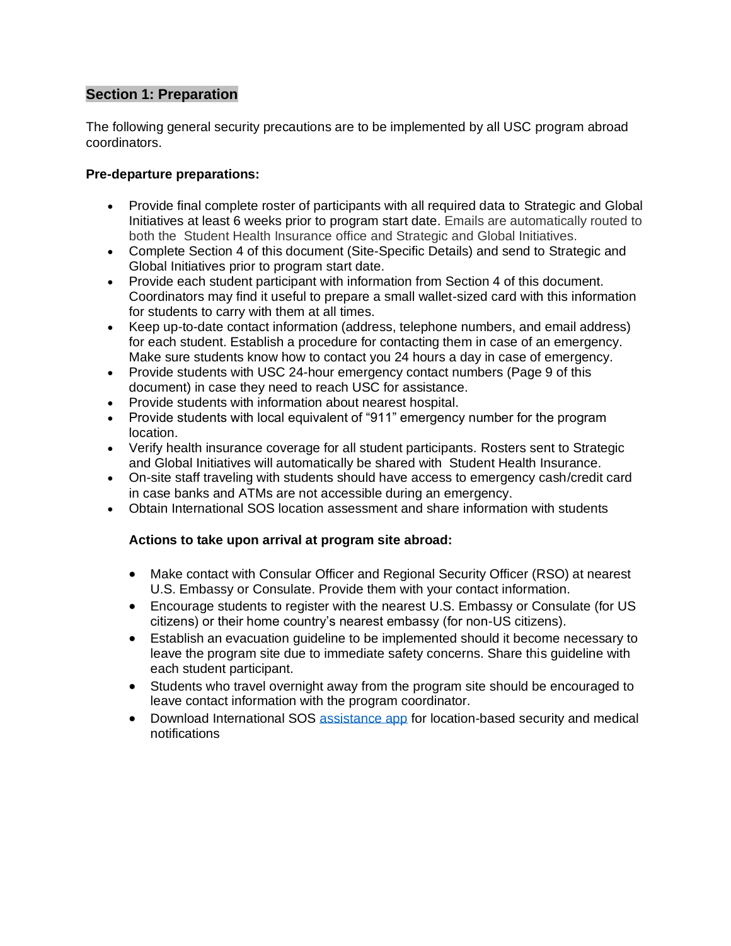# **Section 1: Preparation**

The following general security precautions are to be implemented by all USC program abroad coordinators.

### **Pre-departure preparations:**

- Provide final complete roster of participants with all required data to Strategic and Global Initiatives at least 6 weeks prior to program start date. Emails are automatically routed to both the Student Health Insurance office and Strategic and Global Initiatives.
- Complete Section 4 of this document (Site-Specific Details) and send to Strategic and Global Initiatives prior to program start date.
- Provide each student participant with information from Section 4 of this document. Coordinators may find it useful to prepare a small wallet-sized card with this information for students to carry with them at all times.
- Keep up-to-date contact information (address, telephone numbers, and email address) for each student. Establish a procedure for contacting them in case of an emergency. Make sure students know how to contact you 24 hours a day in case of emergency.
- Provide students with USC 24-hour emergency contact numbers (Page 9 of this document) in case they need to reach USC for assistance.
- Provide students with information about nearest hospital.
- Provide students with local equivalent of "911" emergency number for the program location.
- Verify health insurance coverage for all student participants. Rosters sent to Strategic and Global Initiatives will automatically be shared with Student Health Insurance.
- On-site staff traveling with students should have access to emergency cash/credit card in case banks and ATMs are not accessible during an emergency.
- Obtain International SOS location assessment and share information with students

# **Actions to take upon arrival at program site abroad:**

- Make contact with Consular Officer and Regional Security Officer (RSO) at nearest U.S. Embassy or Consulate. Provide them with your contact information.
- Encourage students to register with the nearest U.S. Embassy or Consulate (for US citizens) or their home country's nearest embassy (for non-US citizens).
- Establish an evacuation guideline to be implemented should it become necessary to leave the program site due to immediate safety concerns. Share this guideline with each student participant.
- Students who travel overnight away from the program site should be encouraged to leave contact information with the program coordinator.
- Download International SOS [assistance app](https://www.internationalsos.com/assistance-app) for location-based security and medical notifications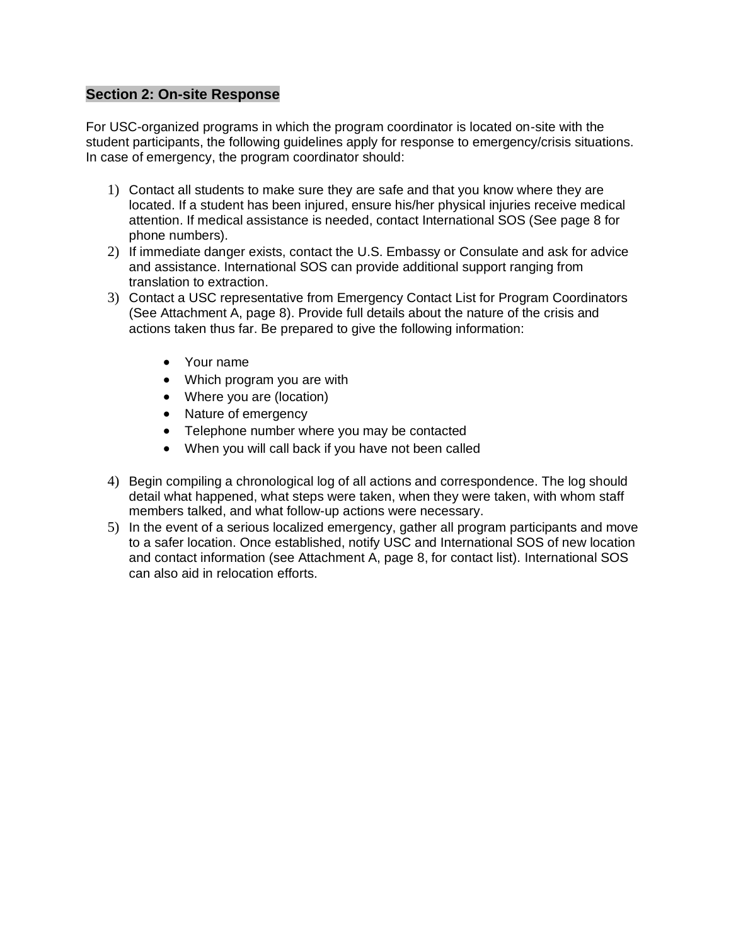# **Section 2: On-site Response**

For USC-organized programs in which the program coordinator is located on-site with the student participants, the following guidelines apply for response to emergency/crisis situations. In case of emergency, the program coordinator should:

- 1) Contact all students to make sure they are safe and that you know where they are located. If a student has been injured, ensure his/her physical injuries receive medical attention. If medical assistance is needed, contact International SOS (See page 8 for phone numbers).
- 2) If immediate danger exists, contact the U.S. Embassy or Consulate and ask for advice and assistance. International SOS can provide additional support ranging from translation to extraction.
- 3) Contact a USC representative from Emergency Contact List for Program Coordinators (See Attachment A, page 8). Provide full details about the nature of the crisis and actions taken thus far. Be prepared to give the following information:
	- Your name
	- Which program you are with
	- Where you are (location)
	- Nature of emergency
	- Telephone number where you may be contacted
	- When you will call back if you have not been called
- 4) Begin compiling a chronological log of all actions and correspondence. The log should detail what happened, what steps were taken, when they were taken, with whom staff members talked, and what follow-up actions were necessary.
- 5) In the event of a serious localized emergency, gather all program participants and move to a safer location. Once established, notify USC and International SOS of new location and contact information (see Attachment A, page 8, for contact list). International SOS can also aid in relocation efforts.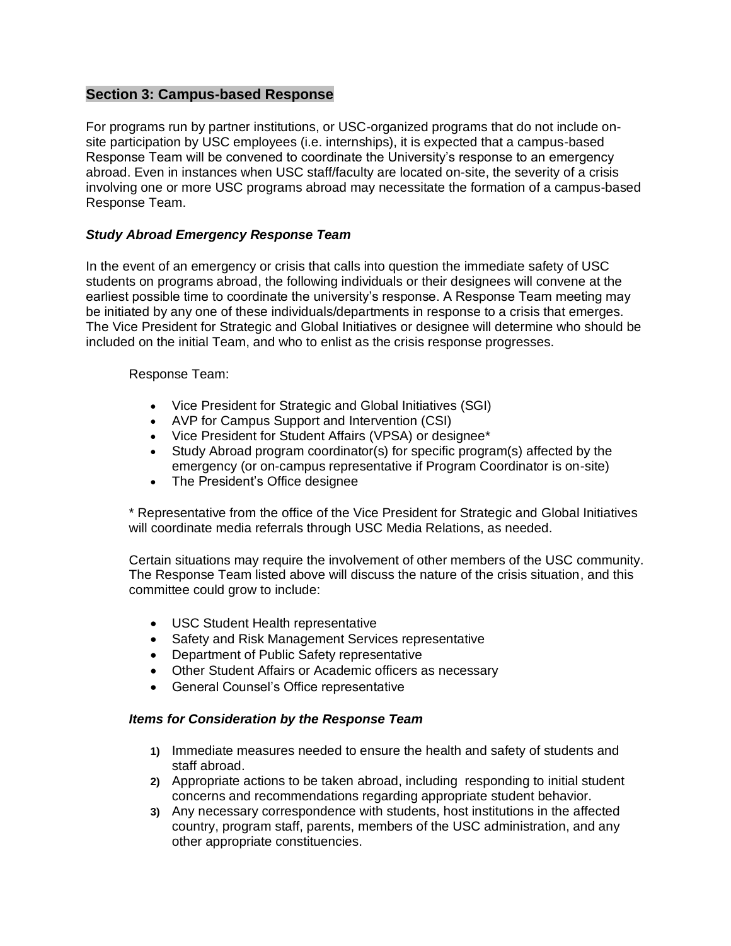# **Section 3: Campus-based Response**

For programs run by partner institutions, or USC-organized programs that do not include onsite participation by USC employees (i.e. internships), it is expected that a campus-based Response Team will be convened to coordinate the University's response to an emergency abroad. Even in instances when USC staff/faculty are located on-site, the severity of a crisis involving one or more USC programs abroad may necessitate the formation of a campus-based Response Team.

# *Study Abroad Emergency Response Team*

In the event of an emergency or crisis that calls into question the immediate safety of USC students on programs abroad, the following individuals or their designees will convene at the earliest possible time to coordinate the university's response. A Response Team meeting may be initiated by any one of these individuals/departments in response to a crisis that emerges. The Vice President for Strategic and Global Initiatives or designee will determine who should be included on the initial Team, and who to enlist as the crisis response progresses.

Response Team:

- Vice President for Strategic and Global Initiatives (SGI)
- AVP for Campus Support and Intervention (CSI)
- Vice President for Student Affairs (VPSA) or designee\*
- Study Abroad program coordinator(s) for specific program(s) affected by the emergency (or on-campus representative if Program Coordinator is on-site)
- The President's Office designee

\* Representative from the office of the Vice President for Strategic and Global Initiatives will coordinate media referrals through USC Media Relations, as needed.

Certain situations may require the involvement of other members of the USC community. The Response Team listed above will discuss the nature of the crisis situation, and this committee could grow to include:

- USC Student Health representative
- Safety and Risk Management Services representative
- Department of Public Safety representative
- Other Student Affairs or Academic officers as necessary
- General Counsel's Office representative

#### *Items for Consideration by the Response Team*

- **1)** Immediate measures needed to ensure the health and safety of students and staff abroad.
- **2)** Appropriate actions to be taken abroad, including responding to initial student concerns and recommendations regarding appropriate student behavior.
- **3)** Any necessary correspondence with students, host institutions in the affected country, program staff, parents, members of the USC administration, and any other appropriate constituencies.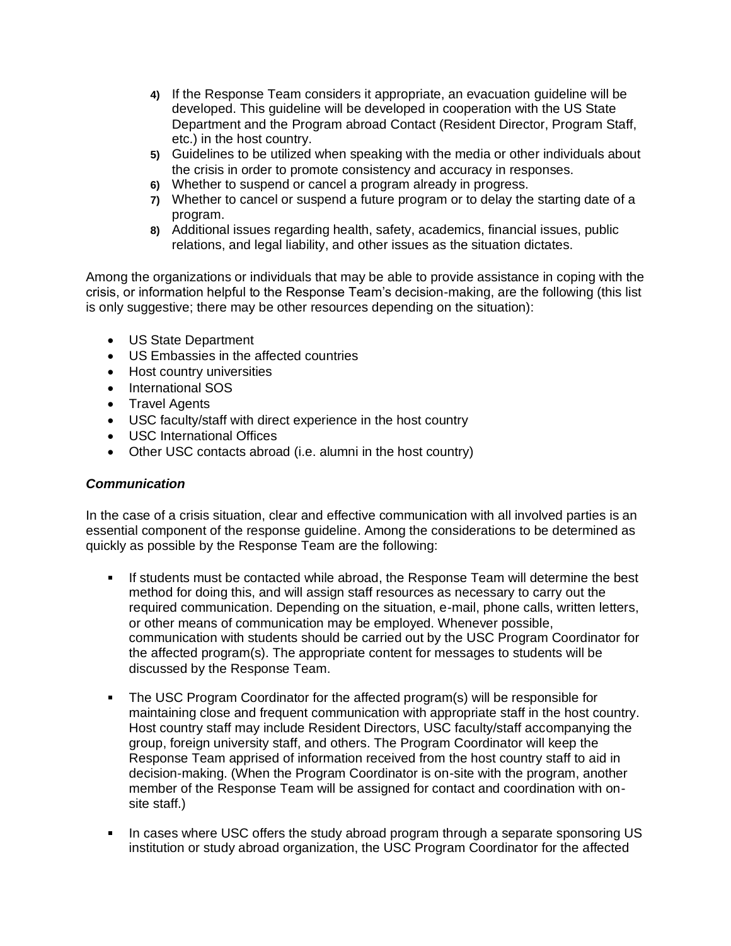- **4)** If the Response Team considers it appropriate, an evacuation guideline will be developed. This guideline will be developed in cooperation with the US State Department and the Program abroad Contact (Resident Director, Program Staff, etc.) in the host country.
- **5)** Guidelines to be utilized when speaking with the media or other individuals about the crisis in order to promote consistency and accuracy in responses.
- **6)** Whether to suspend or cancel a program already in progress.
- **7)** Whether to cancel or suspend a future program or to delay the starting date of a program.
- **8)** Additional issues regarding health, safety, academics, financial issues, public relations, and legal liability, and other issues as the situation dictates.

Among the organizations or individuals that may be able to provide assistance in coping with the crisis, or information helpful to the Response Team's decision-making, are the following (this list is only suggestive; there may be other resources depending on the situation):

- US State Department
- US Embassies in the affected countries
- Host country universities
- International SOS
- Travel Agents
- USC faculty/staff with direct experience in the host country
- USC International Offices
- Other USC contacts abroad (i.e. alumni in the host country)

#### *Communication*

In the case of a crisis situation, clear and effective communication with all involved parties is an essential component of the response guideline. Among the considerations to be determined as quickly as possible by the Response Team are the following:

- If students must be contacted while abroad, the Response Team will determine the best method for doing this, and will assign staff resources as necessary to carry out the required communication. Depending on the situation, e-mail, phone calls, written letters, or other means of communication may be employed. Whenever possible, communication with students should be carried out by the USC Program Coordinator for the affected program(s). The appropriate content for messages to students will be discussed by the Response Team.
- The USC Program Coordinator for the affected program(s) will be responsible for maintaining close and frequent communication with appropriate staff in the host country. Host country staff may include Resident Directors, USC faculty/staff accompanying the group, foreign university staff, and others. The Program Coordinator will keep the Response Team apprised of information received from the host country staff to aid in decision-making. (When the Program Coordinator is on-site with the program, another member of the Response Team will be assigned for contact and coordination with onsite staff.)
- $\blacksquare$ In cases where USC offers the study abroad program through a separate sponsoring US institution or study abroad organization, the USC Program Coordinator for the affected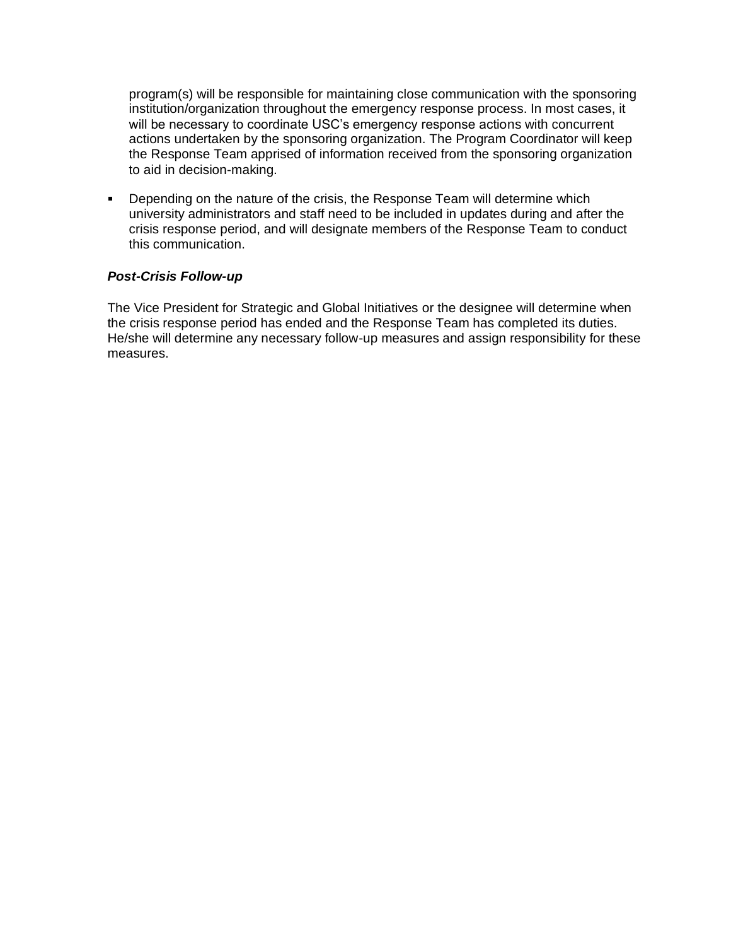program(s) will be responsible for maintaining close communication with the sponsoring institution/organization throughout the emergency response process. In most cases, it will be necessary to coordinate USC's emergency response actions with concurrent actions undertaken by the sponsoring organization. The Program Coordinator will keep the Response Team apprised of information received from the sponsoring organization to aid in decision-making.

**Depending on the nature of the crisis, the Response Team will determine which** university administrators and staff need to be included in updates during and after the crisis response period, and will designate members of the Response Team to conduct this communication.

#### *Post-Crisis Follow-up*

The Vice President for Strategic and Global Initiatives or the designee will determine when the crisis response period has ended and the Response Team has completed its duties. He/she will determine any necessary follow-up measures and assign responsibility for these measures.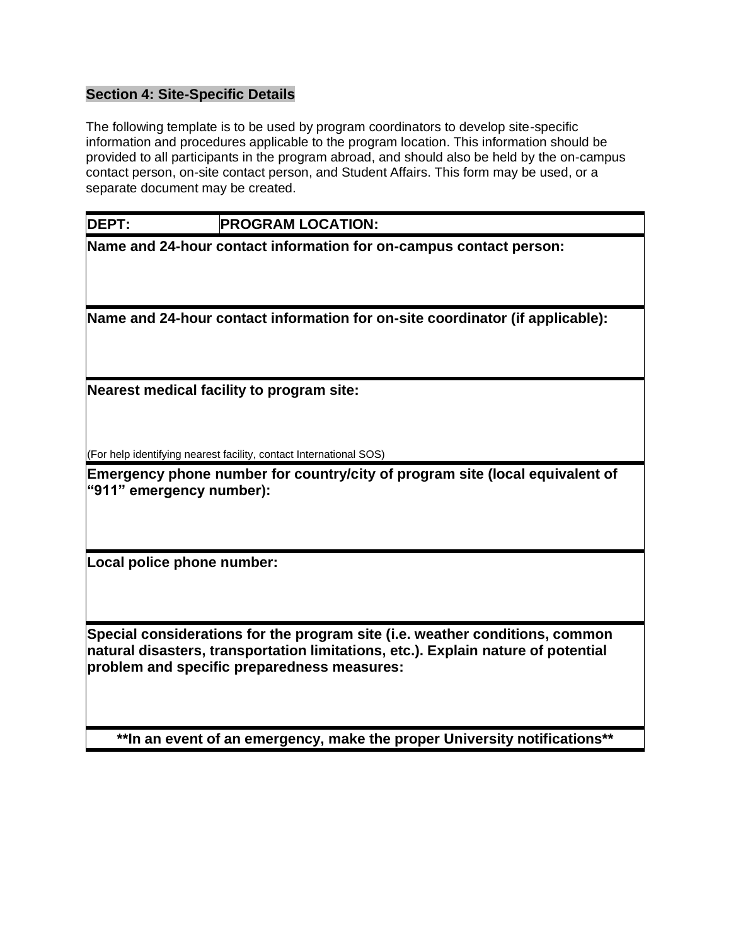# **Section 4: Site-Specific Details**

The following template is to be used by program coordinators to develop site-specific information and procedures applicable to the program location. This information should be provided to all participants in the program abroad, and should also be held by the on-campus contact person, on-site contact person, and Student Affairs. This form may be used, or a separate document may be created.

**Name and 24-hour contact information for on-campus contact person:** 

**Name and 24-hour contact information for on-site coordinator (if applicable):** 

**Nearest medical facility to program site:** 

(For help identifying nearest facility, contact International SOS)

**Emergency phone number for country/city of program site (local equivalent of "911" emergency number):** 

**Local police phone number:** 

**Special considerations for the program site (i.e. weather conditions, common natural disasters, transportation limitations, etc.). Explain nature of potential problem and specific preparedness measures:** 

**\*\*In an event of an emergency, make the proper University notifications\*\***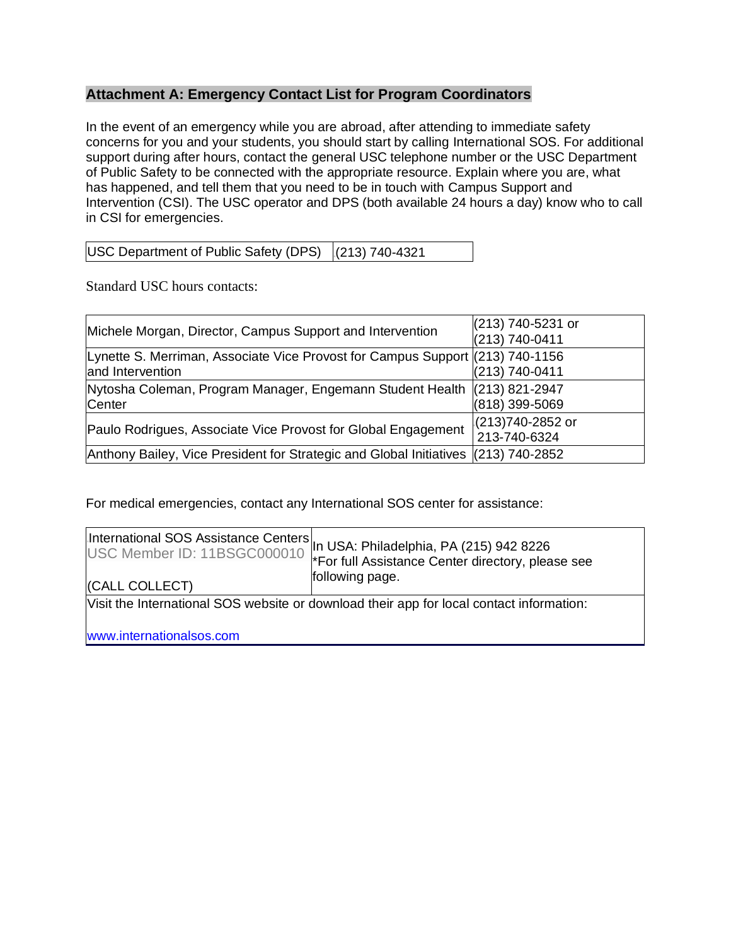# **Attachment A: Emergency Contact List for Program Coordinators**

In the event of an emergency while you are abroad, after attending to immediate safety concerns for you and your students, you should start by calling International SOS. For additional support during after hours, contact the general USC telephone number or the USC Department of Public Safety to be connected with the appropriate resource. Explain where you are, what has happened, and tell them that you need to be in touch with Campus Support and Intervention (CSI). The USC operator and DPS (both available 24 hours a day) know who to call in CSI for emergencies.

| USC Department of Public Safety (DPS) (213) 740-4321 |  |
|------------------------------------------------------|--|
|------------------------------------------------------|--|

Standard USC hours contacts:

| Michele Morgan, Director, Campus Support and Intervention                                         | (213) 740-5231 or<br>(213) 740-0411 |
|---------------------------------------------------------------------------------------------------|-------------------------------------|
| Lynette S. Merriman, Associate Vice Provost for Campus Support (213) 740-1156<br>and Intervention | (213) 740-0411                      |
| Nytosha Coleman, Program Manager, Engemann Student Health (213) 821-2947<br>Center                | (818) 399-5069                      |
| Paulo Rodrigues, Associate Vice Provost for Global Engagement                                     | (213)740-2852 or<br>213-740-6324    |
| Anthony Bailey, Vice President for Strategic and Global Initiatives (213) 740-2852                |                                     |

For medical emergencies, contact any International SOS center for assistance:

|                                                                                          | International SOS Assistance Centers<br>USC Member ID: 11BSGC000010   For full Assistance Center directory, please see |  |
|------------------------------------------------------------------------------------------|------------------------------------------------------------------------------------------------------------------------|--|
| (CALL COLLECT)                                                                           | following page.                                                                                                        |  |
| Visit the International SOS website or download their app for local contact information: |                                                                                                                        |  |
| www.internationalsos.com                                                                 |                                                                                                                        |  |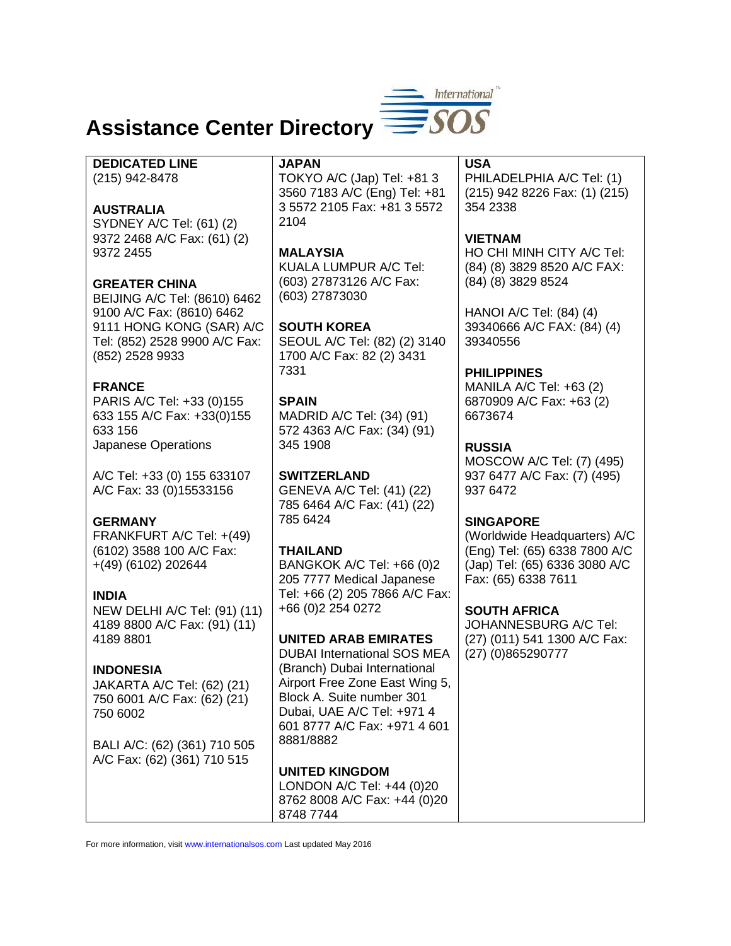

# **Assistance Center Directory**

**DEDICATED LINE**  (215) 942-8478

#### **AUSTRALIA**

SYDNEY A/C Tel: (61) (2) 9372 2468 A/C Fax: (61) (2) 9372 2455

**GREATER CHINA**  BEIJING A/C Tel: (8610) 6462 9100 A/C Fax: (8610) 6462 9111 HONG KONG (SAR) A/C Tel: (852) 2528 9900 A/C Fax: (852) 2528 9933

#### **FRANCE**

PARIS A/C Tel: +33 (0)155 633 155 A/C Fax: +33(0)155 633 156 Japanese Operations

A/C Tel: +33 (0) 155 633107 A/C Fax: 33 (0)15533156

#### **GERMANY**

FRANKFURT A/C Tel: +(49) (6102) 3588 100 A/C Fax: +(49) (6102) 202644

#### **INDIA**

NEW DELHI A/C Tel: (91) (11) 4189 8800 A/C Fax: (91) (11) 4189 8801

#### **INDONESIA**

JAKARTA A/C Tel: (62) (21) 750 6001 A/C Fax: (62) (21) 750 6002

BALI A/C: (62) (361) 710 505 A/C Fax: (62) (361) 710 515

**JAPAN**  TOKYO A/C (Jap) Tel: +81 3 3560 7183 A/C (Eng) Tel: +81 3 5572 2105 Fax: +81 3 5572 2104

#### **MALAYSIA**

KUALA LUMPUR A/C Tel: (603) 27873126 A/C Fax: (603) 27873030

**SOUTH KOREA**  SEOUL A/C Tel: (82) (2) 3140 1700 A/C Fax: 82 (2) 3431 7331

#### **SPAIN**

MADRID A/C Tel: (34) (91) 572 4363 A/C Fax: (34) (91) 345 1908

**SWITZERLAND**  GENEVA A/C Tel: (41) (22) 785 6464 A/C Fax: (41) (22) 785 6424

#### **THAILAND**

BANGKOK A/C Tel: +66 (0)2 205 7777 Medical Japanese Tel: +66 (2) 205 7866 A/C Fax: +66 (0)2 254 0272

#### **UNITED ARAB EMIRATES**

DUBAI International SOS MEA (Branch) Dubai International Airport Free Zone East Wing 5, Block A. Suite number 301 Dubai, UAE A/C Tel: +971 4 601 8777 A/C Fax: +971 4 601 8881/8882

#### **UNITED KINGDOM**

LONDON A/C Tel: +44 (0)20 8762 8008 A/C Fax: +44 (0)20 8748 7744

# **USA**

PHILADELPHIA A/C Tel: (1) (215) 942 8226 Fax: (1) (215) 354 2338

#### **VIETNAM**

HO CHI MINH CITY A/C Tel: (84) (8) 3829 8520 A/C FAX: (84) (8) 3829 8524

HANOI A/C Tel: (84) (4) 39340666 A/C FAX: (84) (4) 39340556

# **PHILIPPINES**

MANILA A/C Tel: +63 (2) 6870909 A/C Fax: +63 (2) 6673674

**RUSSIA** 

MOSCOW A/C Tel: (7) (495) 937 6477 A/C Fax: (7) (495) 937 6472

#### **SINGAPORE**

(Worldwide Headquarters) A/C (Eng) Tel: (65) 6338 7800 A/C (Jap) Tel: (65) 6336 3080 A/C Fax: (65) 6338 7611

#### **SOUTH AFRICA**

JOHANNESBURG A/C Tel: (27) (011) 541 1300 A/C Fax: (27) (0)865290777

For more information, visit www.internationalsos.com Last updated May 2016